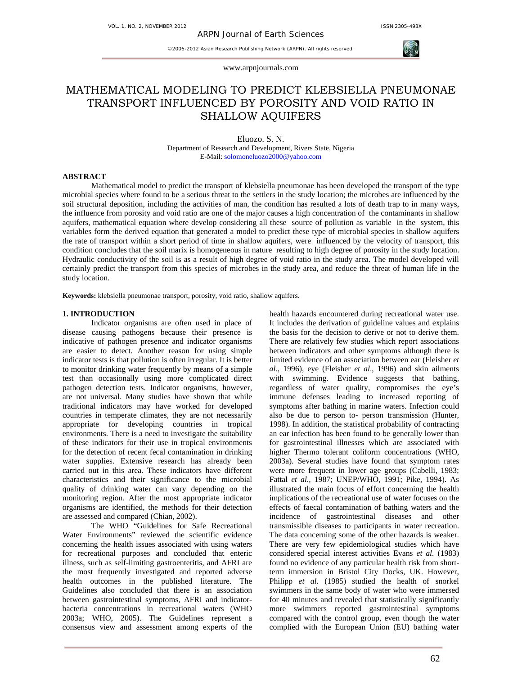

www.arpnjournals.com

# MATHEMATICAL MODELING TO PREDICT KLEBSIELLA PNEUMONAE TRANSPORT INFLUENCED BY POROSITY AND VOID RATIO IN SHALLOW AQUIFERS

Eluozo. S. N. Department of Research and Development, Rivers State, Nigeria E-Mail: solomoneluozo2000@yahoo.com

## **ABSTRACT**

Mathematical model to predict the transport of klebsiella pneumonae has been developed the transport of the type microbial species where found to be a serious threat to the settlers in the study location; the microbes are influenced by the soil structural deposition, including the activities of man, the condition has resulted a lots of death trap to in many ways, the influence from porosity and void ratio are one of the major causes a high concentration of the contaminants in shallow aquifers, mathematical equation where develop considering all these source of pollution as variable in the system, this variables form the derived equation that generated a model to predict these type of microbial species in shallow aquifers the rate of transport within a short period of time in shallow aquifers, were influenced by the velocity of transport, this condition concludes that the soil marix is homogeneous in nature resulting to high degree of porosity in the study location. Hydraulic conductivity of the soil is as a result of high degree of void ratio in the study area. The model developed will certainly predict the transport from this species of microbes in the study area, and reduce the threat of human life in the study location.

**Keywords:** klebsiella pneumonae transport, porosity, void ratio, shallow aquifers.

## **1. INTRODUCTION**

Indicator organisms are often used in place of disease causing pathogens because their presence is indicative of pathogen presence and indicator organisms are easier to detect. Another reason for using simple indicator tests is that pollution is often irregular. It is better to monitor drinking water frequently by means of a simple test than occasionally using more complicated direct pathogen detection tests. Indicator organisms, however, are not universal. Many studies have shown that while traditional indicators may have worked for developed countries in temperate climates, they are not necessarily appropriate for developing countries in tropical environments. There is a need to investigate the suitability of these indicators for their use in tropical environments for the detection of recent fecal contamination in drinking water supplies. Extensive research has already been carried out in this area. These indicators have different characteristics and their significance to the microbial quality of drinking water can vary depending on the monitoring region. After the most appropriate indicator organisms are identified, the methods for their detection are assessed and compared (Chian, 2002).

The WHO "Guidelines for Safe Recreational Water Environments" reviewed the scientific evidence concerning the health issues associated with using waters for recreational purposes and concluded that enteric illness, such as self-limiting gastroenteritis, and AFRI are the most frequently investigated and reported adverse health outcomes in the published literature. The Guidelines also concluded that there is an association between gastrointestinal symptoms, AFRI and indicatorbacteria concentrations in recreational waters (WHO 2003a; WHO, 2005). The Guidelines represent a consensus view and assessment among experts of the health hazards encountered during recreational water use. It includes the derivation of guideline values and explains the basis for the decision to derive or not to derive them. There are relatively few studies which report associations between indicators and other symptoms although there is limited evidence of an association between ear (Fleisher *et al*., 1996), eye (Fleisher *et al*., 1996) and skin ailments with swimming. Evidence suggests that bathing, regardless of water quality, compromises the eye's immune defenses leading to increased reporting of symptoms after bathing in marine waters. Infection could also be due to person to- person transmission (Hunter, 1998). In addition, the statistical probability of contracting an ear infection has been found to be generally lower than for gastrointestinal illnesses which are associated with higher Thermo tolerant coliform concentrations (WHO, 2003a). Several studies have found that symptom rates were more frequent in lower age groups (Cabelli, 1983; Fattal *et al.,* 1987; UNEP/WHO, 1991; Pike, 1994). As illustrated the main focus of effort concerning the health implications of the recreational use of water focuses on the effects of faecal contamination of bathing waters and the incidence of gastrointestinal diseases and other transmissible diseases to participants in water recreation. The data concerning some of the other hazards is weaker. There are very few epidemiological studies which have considered special interest activities Evans *et al.* (1983) found no evidence of any particular health risk from shortterm immersion in Bristol City Docks, UK. However, Philipp *et al.* (1985) studied the health of snorkel swimmers in the same body of water who were immersed for 40 minutes and revealed that statistically significantly more swimmers reported gastrointestinal symptoms compared with the control group, even though the water complied with the European Union (EU) bathing water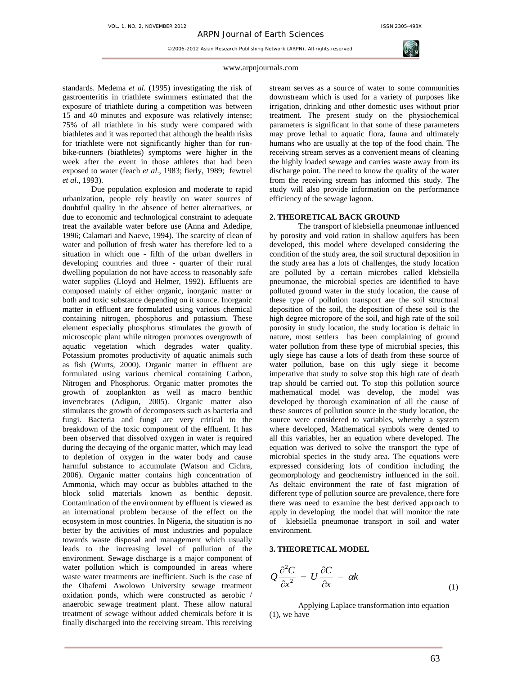

#### www.arpnjournals.com

standards. Medema *et al.* (1995) investigating the risk of gastroenteritis in triathlete swimmers estimated that the exposure of triathlete during a competition was between 15 and 40 minutes and exposure was relatively intense; 75% of all triathlete in his study were compared with biathletes and it was reported that although the health risks for triathlete were not significantly higher than for runbike-runners (biathletes) symptoms were higher in the week after the event in those athletes that had been exposed to water (feach *et al*., 1983; fierly, 1989; fewtrel *et al*., 1993).

Due population explosion and moderate to rapid urbanization, people rely heavily on water sources of doubtful quality in the absence of better alternatives, or due to economic and technological constraint to adequate treat the available water before use (Anna and Adedipe, 1996; Calamari and Naeve, 1994). The scarcity of clean of water and pollution of fresh water has therefore led to a situation in which one - fifth of the urban dwellers in developing countries and three - quarter of their rural dwelling population do not have access to reasonably safe water supplies (Lloyd and Helmer, 1992). Effluents are composed mainly of either organic, inorganic matter or both and toxic substance depending on it source. Inorganic matter in effluent are formulated using various chemical containing nitrogen, phosphorus and potassium. These element especially phosphorus stimulates the growth of microscopic plant while nitrogen promotes overgrowth of aquatic vegetation which degrades water quality. Potassium promotes productivity of aquatic animals such as fish (Wurts, 2000). Organic matter in effluent are formulated using various chemical containing Carbon, Nitrogen and Phosphorus. Organic matter promotes the growth of zooplankton as well as macro benthic invertebrates (Adigun, 2005). Organic matter also stimulates the growth of decomposers such as bacteria and fungi. Bacteria and fungi are very critical to the breakdown of the toxic component of the effluent. It has been observed that dissolved oxygen in water is required during the decaying of the organic matter, which may lead to depletion of oxygen in the water body and cause harmful substance to accumulate (Watson and Cichra, 2006). Organic matter contains high concentration of Ammonia, which may occur as bubbles attached to the block solid materials known as benthic deposit. Contamination of the environment by effluent is viewed as an international problem because of the effect on the ecosystem in most countries. In Nigeria, the situation is no better by the activities of most industries and populace towards waste disposal and management which usually leads to the increasing level of pollution of the environment. Sewage discharge is a major component of water pollution which is compounded in areas where waste water treatments are inefficient. Such is the case of the Obafemi Awolowo University sewage treatment oxidation ponds, which were constructed as aerobic / anaerobic sewage treatment plant. These allow natural treatment of sewage without added chemicals before it is finally discharged into the receiving stream. This receiving

stream serves as a source of water to some communities downstream which is used for a variety of purposes like irrigation, drinking and other domestic uses without prior treatment. The present study on the physiochemical parameters is significant in that some of these parameters may prove lethal to aquatic flora, fauna and ultimately humans who are usually at the top of the food chain. The receiving stream serves as a convenient means of cleaning the highly loaded sewage and carries waste away from its discharge point. The need to know the quality of the water from the receiving stream has informed this study. The study will also provide information on the performance efficiency of the sewage lagoon.

# **2. THEORETICAL BACK GROUND**

The transport of klebsiella pneumonae influenced by porosity and void ration in shallow aquifers has been developed, this model where developed considering the condition of the study area, the soil structural deposition in the study area has a lots of challenges, the study location are polluted by a certain microbes called klebsiella pneumonae, the microbial species are identified to have polluted ground water in the study location, the cause of these type of pollution transport are the soil structural deposition of the soil, the deposition of these soil is the high degree micropore of the soil, and high rate of the soil porosity in study location, the study location is deltaic in nature, most settlers has been complaining of ground water pollution from these type of microbial species, this ugly siege has cause a lots of death from these source of water pollution, base on this ugly siege it become imperative that study to solve stop this high rate of death trap should be carried out. To stop this pollution source mathematical model was develop, the model was developed by thorough examination of all the cause of these sources of pollution source in the study location, the source were considered to variables, whereby a system where developed, Mathematical symbols were dented to all this variables, her an equation where developed. The equation was derived to solve the transport the type of microbial species in the study area. The equations were expressed considering lots of condition including the geomorphology and geochemistry influenced in the soil. As deltaic environment the rate of fast migration of different type of pollution source are prevalence, there fore there was need to examine the best derived approach to apply in developing the model that will monitor the rate of klebsiella pneumonae transport in soil and water environment.

#### **3. THEORETICAL MODEL**

$$
Q\frac{\partial^2 C}{\partial x^2} = U\frac{\partial C}{\partial x} - \alpha k \tag{1}
$$

Applying Laplace transformation into equation (1), we have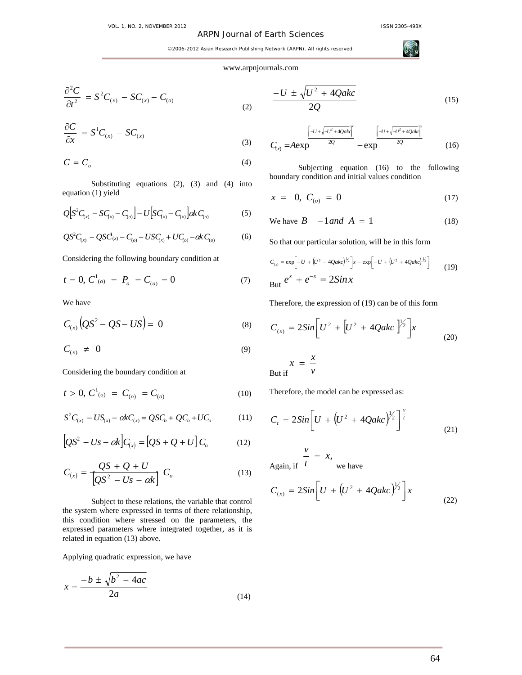## ARPN Journal of Earth Sciences

**ACT** 

©2006-2012 Asian Research Publishing Network (ARPN). All rights reserved.

### www.arpnjournals.com

(2)

$$
\frac{\partial^2 C}{\partial t^2} = S^2 C_{(x)} - SC_{(x)} - C_{(o)}
$$

$$
\frac{\partial C}{\partial x} = S^1 C_{(x)} - S C_{(x)}
$$
\n(3)

$$
C = C_o \tag{4}
$$

Substituting equations (2), (3) and (4) into equation (1) yield

$$
Q[S^{2}C_{(x)} - SC_{(x)} - C_{(o)}] - U[SC_{(x)} - C_{(x)}] \& C_{(o)}
$$
\n(5)

$$
QS^{2}C_{(x)} - QSC_{(x)} - C_{(o)} - USC_{(x)} + UC_{(o)} - \alpha k C_{(o)}
$$
(6)

Considering the following boundary condition at

$$
t = 0, C^{1}_{(o)} = P_o = C_{(o)} = 0 \tag{7}
$$

We have

$$
C_{(x)}\left(QS^2 - QS - US\right) = 0
$$
 (8)

$$
C_{(x)} \neq 0 \tag{9}
$$

Considering the boundary condition at

$$
t > 0, C^{1}_{(o)} = C_{(o)} = C_{(o)}
$$
 (10)

$$
S^{2}C_{(x)} - US_{(x)} - \alpha kC_{(x)} = QSC_{o} + QC_{o} + UC_{o}
$$
 (11)

$$
\left[QS^{2} - Us - \alpha k \right]C_{(x)} = \left[QS + Q + U \right]C_{o}
$$
 (12)

$$
C_{(x)} = \frac{QS + Q + U}{[QS^2 - Us - \alpha k]} C_o
$$
 (13)

Subject to these relations, the variable that control the system where expressed in terms of there relationship, this condition where stressed on the parameters, the expressed parameters where integrated together, as it is related in equation (13) above.

Applying quadratic expression, we have

$$
x = \frac{-b \pm \sqrt{b^2 - 4ac}}{2a} \tag{14}
$$

$$
\frac{-U \pm \sqrt{U^2 + 4Qakc}}{2Q} \tag{15}
$$

$$
C_{(x)} = A \exp \frac{\left[-U + \sqrt{-U^2 + 4Qak}\right]^x}{2Q} - \exp \frac{\left[-U + \sqrt{-U^2 + 4Qak}\right]^x}{2Q} \tag{16}
$$

Subjecting equation (16) to the following boundary condition and initial values condition

$$
x = 0, C_{(o)} = 0 \tag{17}
$$

We have 
$$
B - 1
$$
 and  $A = 1$  (18)

So that our particular solution, will be in this form

$$
C_{(x)} = \exp\left[-U + (U^2 - 4Qakc)^{\frac{1}{2}}\right]x - \exp\left[-U + (U^2 + 4Qakc)^{\frac{1}{2}}\right]
$$
  
But  $e^x + e^{-x} = 2\sin x$  (19)

Therefore, the expression of (19) can be of this form

$$
C_{(x)} = 2Sin\bigg[U^2 + \bigg[U^2 + 4Qakc\bigg]^{1/2}\bigg]x
$$
  

$$
x = \frac{x}{2}
$$
 (20)

But if  $\qquad$  *v* 

Therefore, the model can be expressed as:

$$
C_t = 2Sin\bigg[U + \big(U^2 + 4Qakc\big)^{1/2}\bigg]^{\frac{v}{t}} \tag{21}
$$

Again, if  $\frac{v}{t} = x$ , we have

$$
C_{(x)} = 2Sin\bigg[U + \big(U^2 + 4Qakc\big)^{1/2}\bigg]x\tag{22}
$$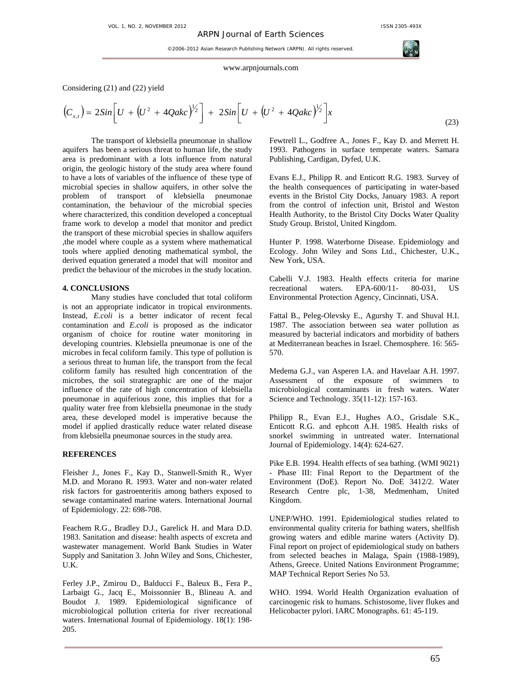#### www.arpnjournals.com

Considering (21) and (22) yield

$$
(C_{x,t}) = 2Sin\left[U + \left(U^2 + 4Qakc\right)^{1/2}\right] + 2Sin\left[U + \left(U^2 + 4Qakc\right)^{1/2}\right]x \tag{23}
$$

The transport of klebsiella pneumonae in shallow aquifers has been a serious threat to human life, the study area is predominant with a lots influence from natural origin, the geologic history of the study area where found to have a lots of variables of the influence of these type of microbial species in shallow aquifers, in other solve the problem of transport of klebsiella pneumonae contamination, the behaviour of the microbial species where characterized, this condition developed a conceptual frame work to develop a model that monitor and predict the transport of these microbial species in shallow aquifers ,the model where couple as a system where mathematical tools where applied denoting mathematical symbol, the derived equation generated a model that will monitor and predict the behaviour of the microbes in the study location.

## **4. CONCLUSIONS**

Many studies have concluded that total coliform is not an appropriate indicator in tropical environments. Instead, *E.coli* is a better indicator of recent fecal contamination and *E.coli* is proposed as the indicator organism of choice for routine water monitoring in developing countries. Klebsiella pneumonae is one of the microbes in fecal coliform family. This type of pollution is a serious threat to human life, the transport from the fecal coliform family has resulted high concentration of the microbes, the soil strategraphic are one of the major influence of the rate of high concentration of klebsiella pneumonae in aquiferious zone, this implies that for a quality water free from klebsiella pneumonae in the study area, these developed model is imperative because the model if applied drastically reduce water related disease from klebsiella pneumonae sources in the study area.

#### **REFERENCES**

Fleisher J., Jones F., Kay D., Stanwell-Smith R., Wyer M.D. and Morano R. 1993. Water and non-water related risk factors for gastroenteritis among bathers exposed to sewage contaminated marine waters. International Journal of Epidemiology. 22: 698-708.

Feachem R.G., Bradley D.J., Garelick H. and Mara D.D. 1983. Sanitation and disease: health aspects of excreta and wastewater management. World Bank Studies in Water Supply and Sanitation 3. John Wiley and Sons, Chichester, U.K.

Ferley J.P., Zmirou D., Balducci F., Baleux B., Fera P., Larbaigt G., Jacq E., Moissonnier B., Blineau A. and Boudot J. 1989. Epidemiological significance of microbiological pollution criteria for river recreational waters. International Journal of Epidemiology. 18(1): 198- 205.

Fewtrell L., Godfree A., Jones F., Kay D. and Merrett H. 1993. Pathogens in surface temperate waters. Samara Publishing, Cardigan, Dyfed, U.K.

Evans E.J., Philipp R. and Enticott R.G. 1983. Survey of the health consequences of participating in water-based events in the Bristol City Docks, January 1983. A report from the control of infection unit, Bristol and Weston Health Authority, to the Bristol City Docks Water Quality Study Group. Bristol, United Kingdom.

Hunter P. 1998. Waterborne Disease. Epidemiology and Ecology. John Wiley and Sons Ltd., Chichester, U.K., New York, USA.

Cabelli V.J. 1983. Health effects criteria for marine recreational waters. EPA-600/11- 80-031, US Environmental Protection Agency, Cincinnati, USA.

Fattal B., Peleg-Olevsky E., Agurshy T. and Shuval H.I. 1987. The association between sea water pollution as measured by bacterial indicators and morbidity of bathers at Mediterranean beaches in Israel. Chemosphere. 16: 565- 570.

Medema G.J., van Asperen I.A. and Havelaar A.H. 1997. Assessment of the exposure of swimmers to microbiological contaminants in fresh waters. Water Science and Technology. 35(11-12): 157-163.

Philipp R., Evan E.J., Hughes A.O., Grisdale S.K., Enticott R.G. and ephcott A.H. 1985. Health risks of snorkel swimming in untreated water. International Journal of Epidemiology. 14(4): 624-627.

Pike E.B. 1994. Health effects of sea bathing. (WMI 9021) - Phase III: Final Report to the Department of the Environment (DoE). Report No. DoE 3412/2. Water Research Centre plc, 1-38, Medmenham, United Kingdom.

UNEP/WHO. 1991. Epidemiological studies related to environmental quality criteria for bathing waters, shellfish growing waters and edible marine waters (Activity D). Final report on project of epidemiological study on bathers from selected beaches in Malaga, Spain (1988-1989), Athens, Greece. United Nations Environment Programme; MAP Technical Report Series No 53.

WHO. 1994. World Health Organization evaluation of carcinogenic risk to humans. Schistosome, liver flukes and Helicobacter pylori. IARC Monographs. 61: 45-119.